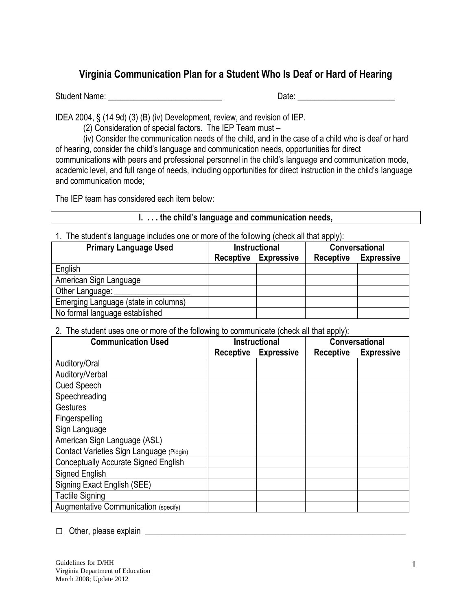# **Virginia Communication Plan for a Student Who Is Deaf or Hard of Hearing**

Student Name: \_\_\_\_\_\_\_\_\_\_\_\_\_\_\_\_\_\_\_\_\_\_\_\_\_\_\_ Date: \_\_\_\_\_\_\_\_\_\_\_\_\_\_\_\_\_\_\_\_\_\_\_

IDEA 2004, § (14 9d) (3) (B) (iv) Development, review, and revision of IEP.

(2) Consideration of special factors. The IEP Team must –

(iv) Consider the communication needs of the child, and in the case of a child who is deaf or hard of hearing, consider the child's language and communication needs, opportunities for direct communications with peers and professional personnel in the child's language and communication mode, academic level, and full range of needs, including opportunities for direct instruction in the child's language and communication mode;

The IEP team has considered each item below:

### **I. . . . the child's language and communication needs,**

1. The student's language includes one or more of the following (check all that apply):

| <b>Primary Language Used</b>         | <b>Instructional</b> |                   | <b>Conversational</b> |                   |
|--------------------------------------|----------------------|-------------------|-----------------------|-------------------|
|                                      | Receptive            | <b>Expressive</b> | <b>Receptive</b>      | <b>Expressive</b> |
| English                              |                      |                   |                       |                   |
| American Sign Language               |                      |                   |                       |                   |
| Other Language:                      |                      |                   |                       |                   |
| Emerging Language (state in columns) |                      |                   |                       |                   |
| No formal language established       |                      |                   |                       |                   |

#### 2. The student uses one or more of the following to communicate (check all that apply):

| <b>Communication Used</b>                   | <b>Instructional</b> |                      | <b>Conversational</b> |                   |
|---------------------------------------------|----------------------|----------------------|-----------------------|-------------------|
|                                             |                      | Receptive Expressive | <b>Receptive</b>      | <b>Expressive</b> |
| Auditory/Oral                               |                      |                      |                       |                   |
| Auditory/Verbal                             |                      |                      |                       |                   |
| <b>Cued Speech</b>                          |                      |                      |                       |                   |
| Speechreading                               |                      |                      |                       |                   |
| Gestures                                    |                      |                      |                       |                   |
| Fingerspelling                              |                      |                      |                       |                   |
| Sign Language                               |                      |                      |                       |                   |
| American Sign Language (ASL)                |                      |                      |                       |                   |
| Contact Varieties Sign Language (Pidgin)    |                      |                      |                       |                   |
| <b>Conceptually Accurate Signed English</b> |                      |                      |                       |                   |
| <b>Signed English</b>                       |                      |                      |                       |                   |
| Signing Exact English (SEE)                 |                      |                      |                       |                   |
| <b>Tactile Signing</b>                      |                      |                      |                       |                   |
| Augmentative Communication (specify)        |                      |                      |                       |                   |

#### $\Box$  Other, please explain  $\Box$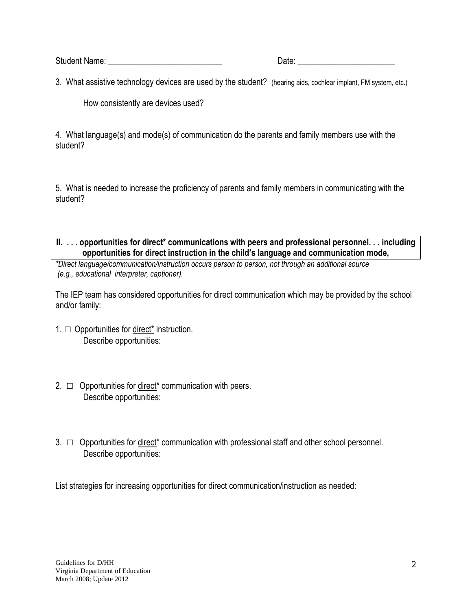Student Name: \_\_\_\_\_\_\_\_\_\_\_\_\_\_\_\_\_\_\_\_\_\_\_\_\_\_\_ Date: \_\_\_\_\_\_\_\_\_\_\_\_\_\_\_\_\_\_\_\_\_\_\_

3. What assistive technology devices are used by the student? (hearing aids, cochlear implant, FM system, etc.)

How consistently are devices used?

4. What language(s) and mode(s) of communication do the parents and family members use with the student?

5. What is needed to increase the proficiency of parents and family members in communicating with the student?

**II. . . . opportunities for direct\* communications with peers and professional personnel. . . including opportunities for direct instruction in the child's language and communication mode,**

*\*Direct language/communication/instruction occurs person to person, not through an additional source (e.g., educational interpreter, captioner).*

The IEP team has considered opportunities for direct communication which may be provided by the school and/or family:

- 1.  $\Box$  Opportunities for direct\* instruction. Describe opportunities:
- 2.  $\Box$  Opportunities for direct\* communication with peers. Describe opportunities:
- 3. □ Opportunities for direct<sup>\*</sup> communication with professional staff and other school personnel. Describe opportunities:

List strategies for increasing opportunities for direct communication/instruction as needed: